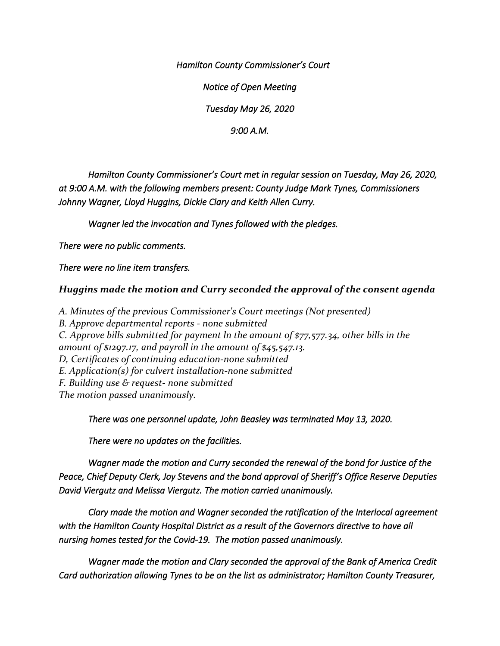*Hamilton County Commissioner's Court* 

*Notice of Open Meeting* 

*Tuesday May 26, 2020* 

*9:00 A.M.* 

 *Hamilton County Commissioner's Court met in regular session on Tuesday, May 26, 2020, at 9:00 A.M. with the following members present: County Judge Mark Tynes, Commissioners Johnny Wagner, Lloyd Huggins, Dickie Clary and Keith Allen Curry.* 

 *Wagner led the invocation and Tynes followed with the pledges.* 

*There were no public comments.* 

*There were no line item transfers.* 

## *Huggins made the motion and Curry seconded the approval of the consent agenda*

*A. Minutes of the previous Commissioner's Court meetings (Not presented) B. Approve departmental reports - none submitted C. Approve bills submitted for payment ln the amount of \$77,577.34, other bills in the amount of \$1297.17, and payroll in the amount of \$45,547.13. D, Certificates of continuing education-none submitted E. Application(s) for culvert installation-none submitted F. Building use & request- none submitted The motion passed unanimously.* 

*There was one personnel update, John Beasley was terminated May 13, 2020.* 

*There were no updates on the facilities.* 

*Wagner made the motion and Curry seconded the renewal of the bond for Justice of the Peace, Chief Deputy Clerk, Joy Stevens and the bond approval of Sheriff's Office Reserve Deputies David Viergutz and Melissa Viergutz. The motion carried unanimously.* 

*Clary made the motion and Wagner seconded the ratification of the Interlocal agreement with the Hamilton County Hospital District as a result of the Governors directive to have all nursing homes tested for the Covid-19. The motion passed unanimously.* 

*Wagner made the motion and Clary seconded the approval of the Bank of America Credit Card authorization allowing Tynes to be on the list as administrator; Hamilton County Treasurer,*